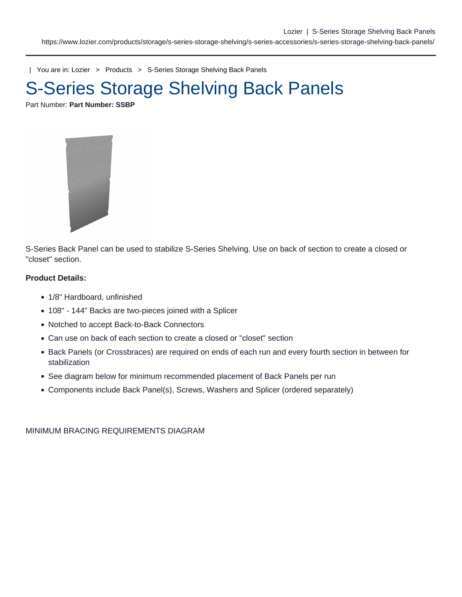| You are in: [Lozier](https://www.lozier.com) > [Products](https://www.lozier.com/products/) > [S-Series Storage Shelving Back Panels](https://www.lozier.com/products/storage/s-series-storage-shelving/s-series-accessories/s-series-storage-shelving-back-panels/)

# S-Series Storage Shelving Back Panels

Part Number: Part Number: SSBP

S-Series Back Panel can be used to stabilize S-Series Shelving. Use on back of section to create a closed or "closet" section.

Product Details:

- 1/8" Hardboard, unfinished
- 108" 144" Backs are two-pieces joined with a Splicer
- Notched to accept Back-to-Back Connectors
- Can use on back of each section to create a closed or "closet" section
- Back Panels (or Crossbraces) are required on ends of each run and every fourth section in between for stabilization
- See diagram below for minimum recommended placement of Back Panels per run
- Components include Back Panel(s), Screws, Washers and Splicer (ordered separately)

MINIMUM BRACING REQUIREMENTS DIAGRAM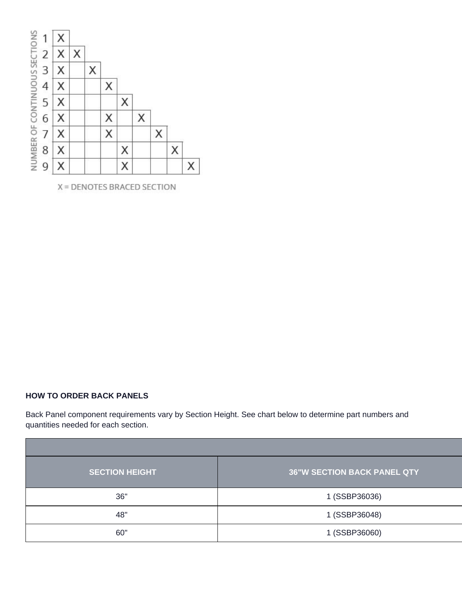

X = DENOTES BRACED SECTION

## **HOW TO ORDER BACK PANELS**

Back Panel component requirements vary by Section Height. See chart below to determine part numbers and quantities needed for each section.

| <b>SECTION HEIGHT</b> | 36"W SECTION BACK PANEL QTY |
|-----------------------|-----------------------------|
| $\sim$                | 1 (SSBP36036)               |
|                       | 1 (SSBP36048)               |
|                       | 1 (SSBP36060)               |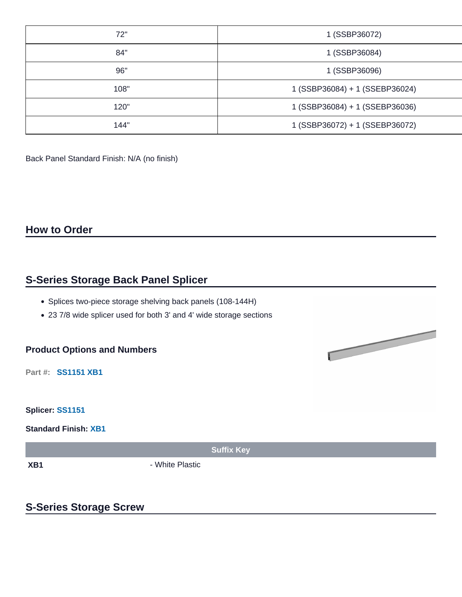|                        | 1 (SSBP36072)                  |  |  |
|------------------------|--------------------------------|--|--|
|                        | 1 (SSBP36084)                  |  |  |
|                        | 1 (SSBP36096)                  |  |  |
|                        | 1 (SSBP36084) + 1 (SSEBP36024) |  |  |
| 1 20"                  | 1 (SSBP36084) + 1 (SSEBP36036) |  |  |
| $4A$ $A$ <sup>11</sup> | 1 (SSBP36072) + 1 (SSEBP36072) |  |  |

Back Panel Standard Finish: N/A (no finish)

**How to Order**

## **S-Series Storage Back Panel Splicer**

- Splices two-piece storage shelving back panels (108-144H)
- 23 7/8 wide splicer used for both 3' and 4' wide storage sections

### **Product Options and Numbers**

**Part #: SS1151 XB1**

**Splicer: SS1151**

**Standard Finish: XB1**

**Suffix Key**

**XB1** - White Plastic

# **S-Series Storage Screw**

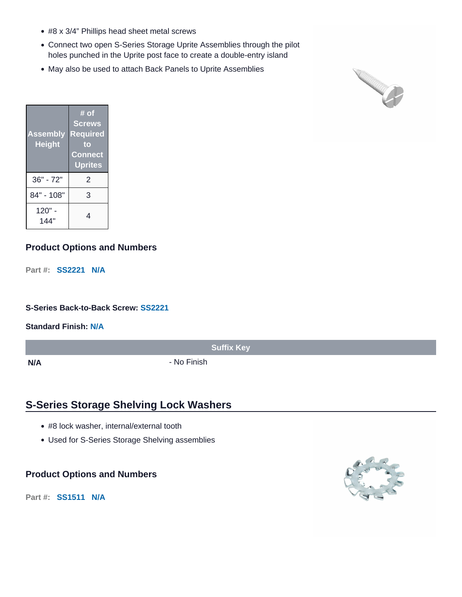- #8 x 3/4" Phillips head sheet metal screws
- Connect two open S-Series Storage Uprite Assemblies through the pilot holes punched in the Uprite post face to create a double-entry island
- May also be used to attach Back Panels to Uprite Assemblies



| <b>Assembly</b><br><b>Height</b> | # of<br><b>Screws</b><br><b>Required</b><br>to<br><b>Connect</b><br><b>Uprites</b> |  |  |
|----------------------------------|------------------------------------------------------------------------------------|--|--|
| 36" - 72"                        | 2                                                                                  |  |  |
| 84" - 108"                       | 3                                                                                  |  |  |
| $120" -$<br>144"                 | 4                                                                                  |  |  |

## **Product Options and Numbers**

**Part #: SS2221 N/A**

**S-Series Back-to-Back Screw: SS2221**

**Standard Finish: N/A**

**N/A** - No Finish

**Suffix Key**

# **S-Series Storage Shelving Lock Washers**

- #8 lock washer, internal/external tooth
- Used for S-Series Storage Shelving assemblies

#### **Product Options and Numbers**

**Part #: SS1511 N/A**